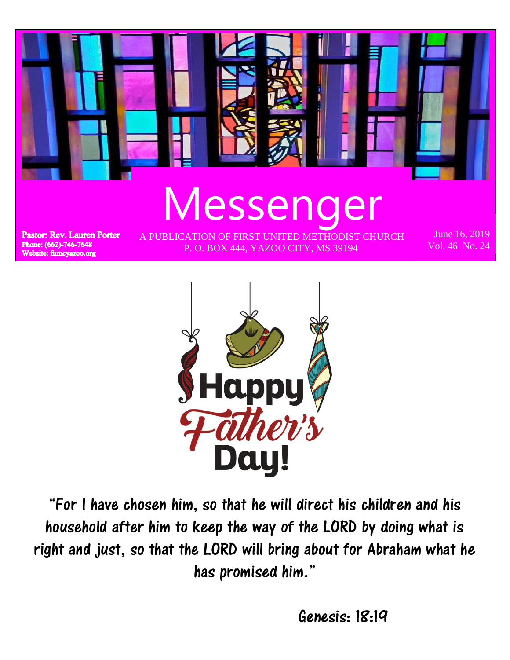



"For I have chosen him, so that he will direct his children and his household after him to keep the way of the LORD by doing what is right and just, so that the LORD will bring about for Abraham what he has promised him."

Genesis: 18:19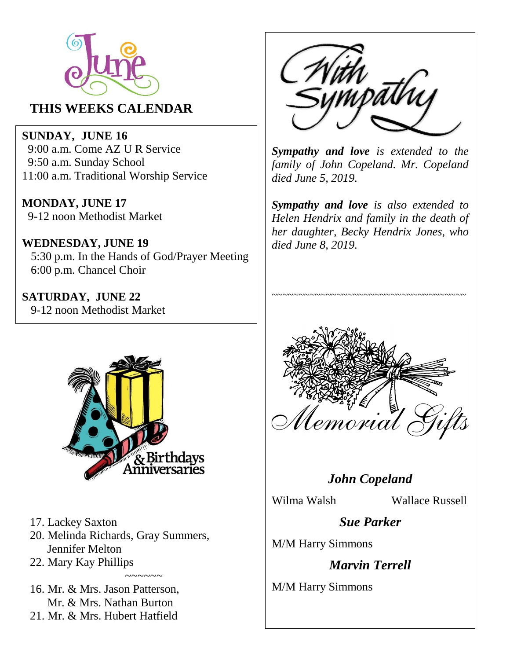

#### **THIS WEEKS CALENDAR**

**SUNDAY, JUNE 16** 9:00 a.m. Come AZ U R Service 9:50 a.m. Sunday School 11:00 a.m. Traditional Worship Service

**MONDAY, JUNE 17** 9-12 noon Methodist Market

**WEDNESDAY, JUNE 19** 5:30 p.m. In the Hands of God/Prayer Meeting 6:00 p.m. Chancel Choir

**SATURDAY, JUNE 22** 9-12 noon Methodist Market



- 17. Lackey Saxton
- 20. Melinda Richards, Gray Summers, Jennifer Melton
- 22. Mary Kay Phillips ~~~~~~

16. Mr. & Mrs. Jason Patterson, Mr. & Mrs. Nathan Burton

21. Mr. & Mrs. Hubert Hatfield



*Sympathy and love is extended to the family of John Copeland. Mr. Copeland died June 5, 2019.*

*Sympathy and love is also extended to Helen Hendrix and family in the death of her daughter, Becky Hendrix Jones, who died June 8, 2019.*

~~~~~~~~~~~~~~~~~~~~~~~~~~~~~~~~~~~~



#### *John Copeland*

Wilma Walsh Wallace Russell

*Sue Parker*

M/M Harry Simmons

*Marvin Terrell*

M/M Harry Simmons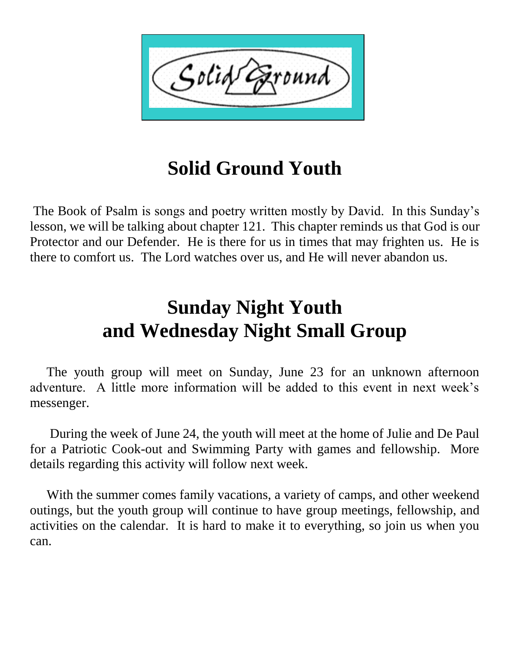

## **Solid Ground Youth**

The Book of Psalm is songs and poetry written mostly by David. In this Sunday's lesson, we will be talking about chapter 121. This chapter reminds us that God is our Protector and our Defender. He is there for us in times that may frighten us. He is there to comfort us. The Lord watches over us, and He will never abandon us.

# **Sunday Night Youth and Wednesday Night Small Group**

 The youth group will meet on Sunday, June 23 for an unknown afternoon adventure. A little more information will be added to this event in next week's messenger.

 During the week of June 24, the youth will meet at the home of Julie and De Paul for a Patriotic Cook-out and Swimming Party with games and fellowship. More details regarding this activity will follow next week.

 With the summer comes family vacations, a variety of camps, and other weekend outings, but the youth group will continue to have group meetings, fellowship, and activities on the calendar. It is hard to make it to everything, so join us when you can.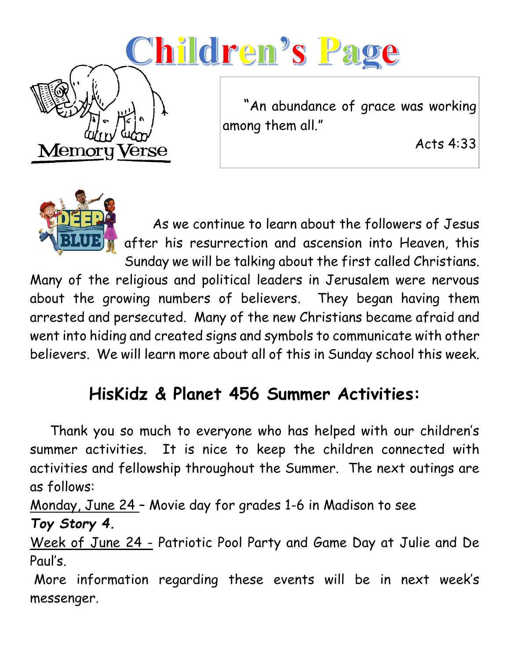# Children's Page

 "An abundance of grace was working among them all."

Acts 4:33



Memor

Verse

 As we continue to learn about the followers of Jesus after his resurrection and ascension into Heaven, this Sunday we will be talking about the first called Christians.

Many of the religious and political leaders in Jerusalem were nervous about the growing numbers of believers. They began having them arrested and persecuted. Many of the new Christians became afraid and went into hiding and created signs and symbols to communicate with other believers. We will learn more about all of this in Sunday school this week.

# **HisKidz & Planet 456 Summer Activities:**

 Thank you so much to everyone who has helped with our children's summer activities. It is nice to keep the children connected with activities and fellowship throughout the Summer. The next outings are as follows:

Monday, June 24 – Movie day for grades 1-6 in Madison to see

### *Toy Story 4.*

Week of June 24 - Patriotic Pool Party and Game Day at Julie and De Paul's.

More information regarding these events will be in next week's messenger.